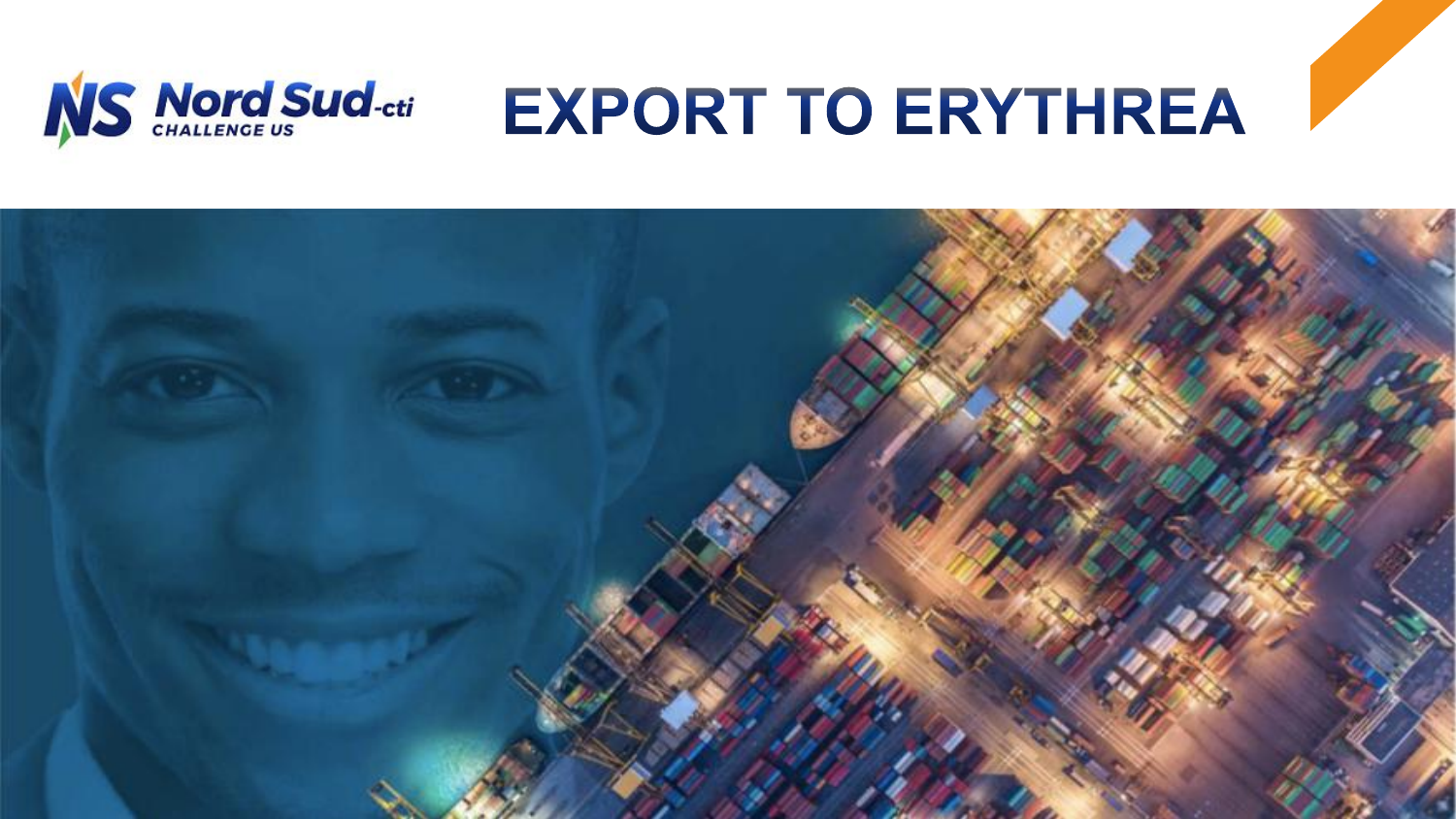

# **EXPORT TO ERYTHREA**

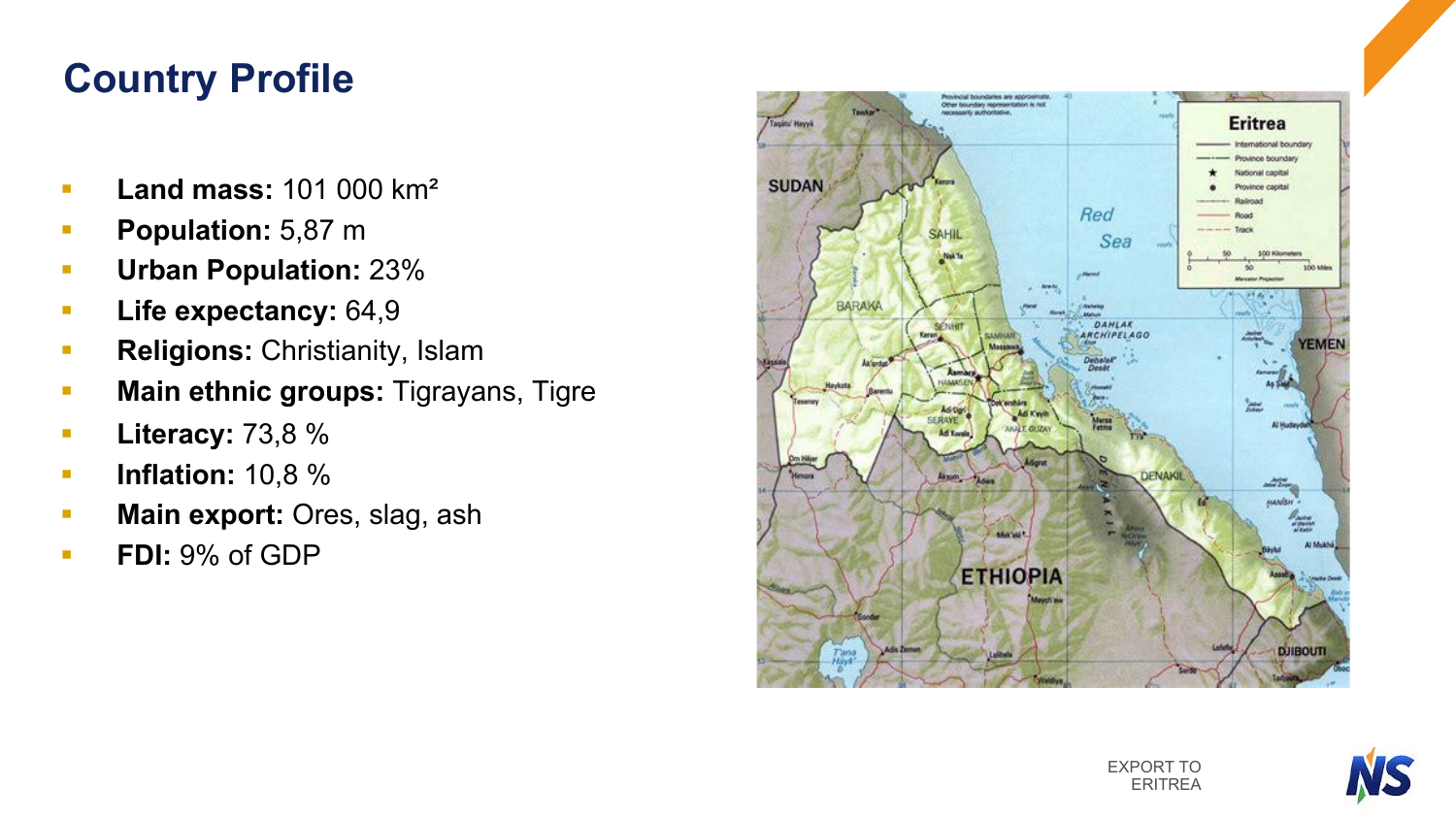### **Country Profile**

- **E** Land mass: 101 000 km<sup>2</sup>
- **Population:** 5,87 m
- § **Urban Population:** 23%
- § **Life expectancy:** 64,9
- **Religions: Christianity, Islam**
- § **Main ethnic groups:** Tigrayans, Tigre
- § **Literacy:** 73,8 %
- § **Inflation:** 10,8 %
- **Main export:** Ores, slag, ash
- **FDI:** 9% of GDP



EXPORT TO ERITREA

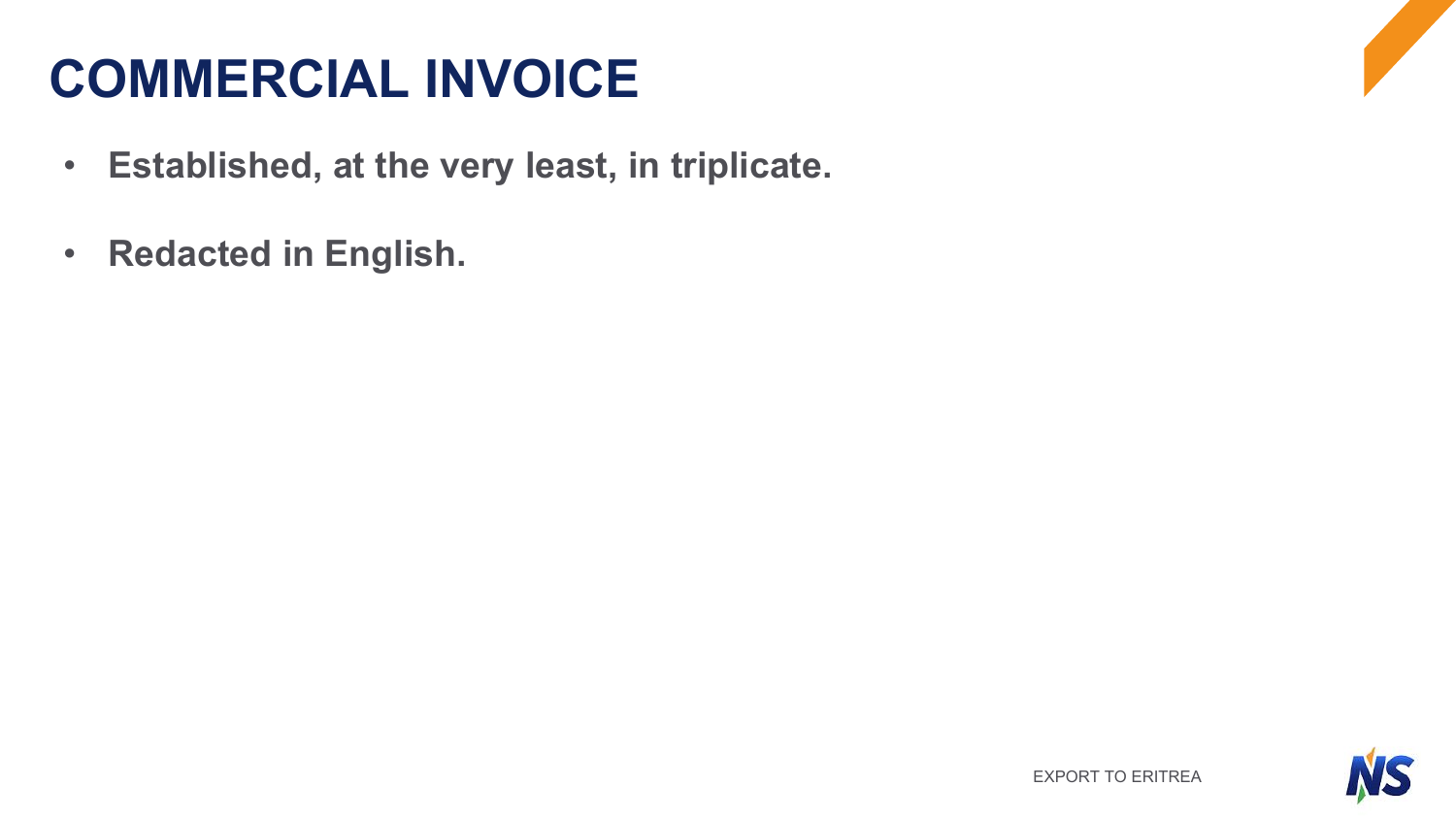## **COMMERCIAL INVOICE**

- **Established, at the very least, in triplicate.**
- **Redacted in English.**

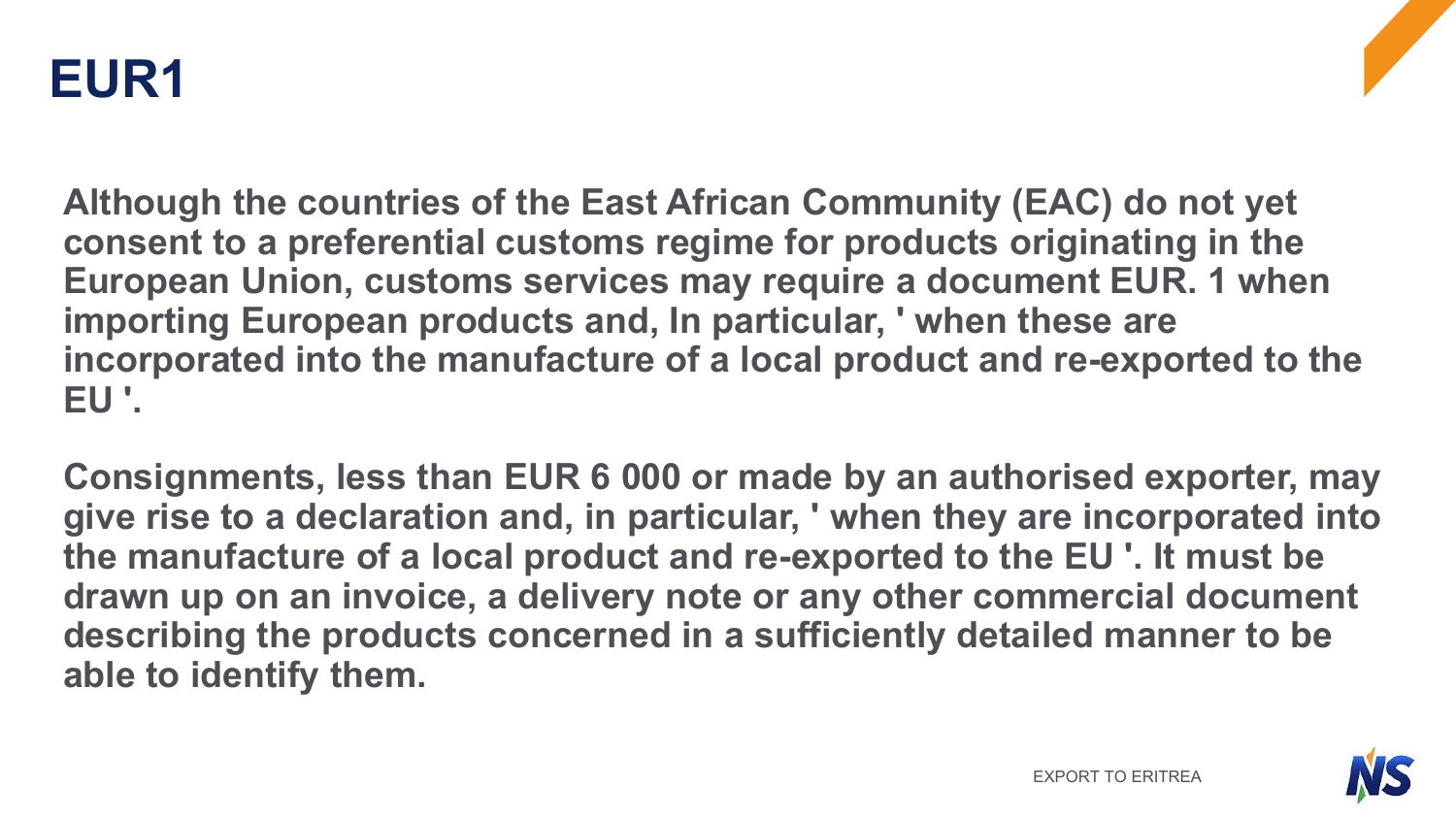

**Although the countries of the East African Community (EAC) do not yet consent to a preferential customs regime for products originating in the European Union, customs services may require a document EUR. 1 when importing European products and, In particular, ' when these are incorporated into the manufacture of a local product and re-exported to the EU '.**

**Consignments, less than EUR 6 000 or made by an authorised exporter, may give rise to a declaration and, in particular, ' when they are incorporated into the manufacture of a local product and re-exported to the EU '. It must be drawn up on an invoice, a delivery note or any other commercial document describing the products concerned in a sufficiently detailed manner to be able to identify them.**

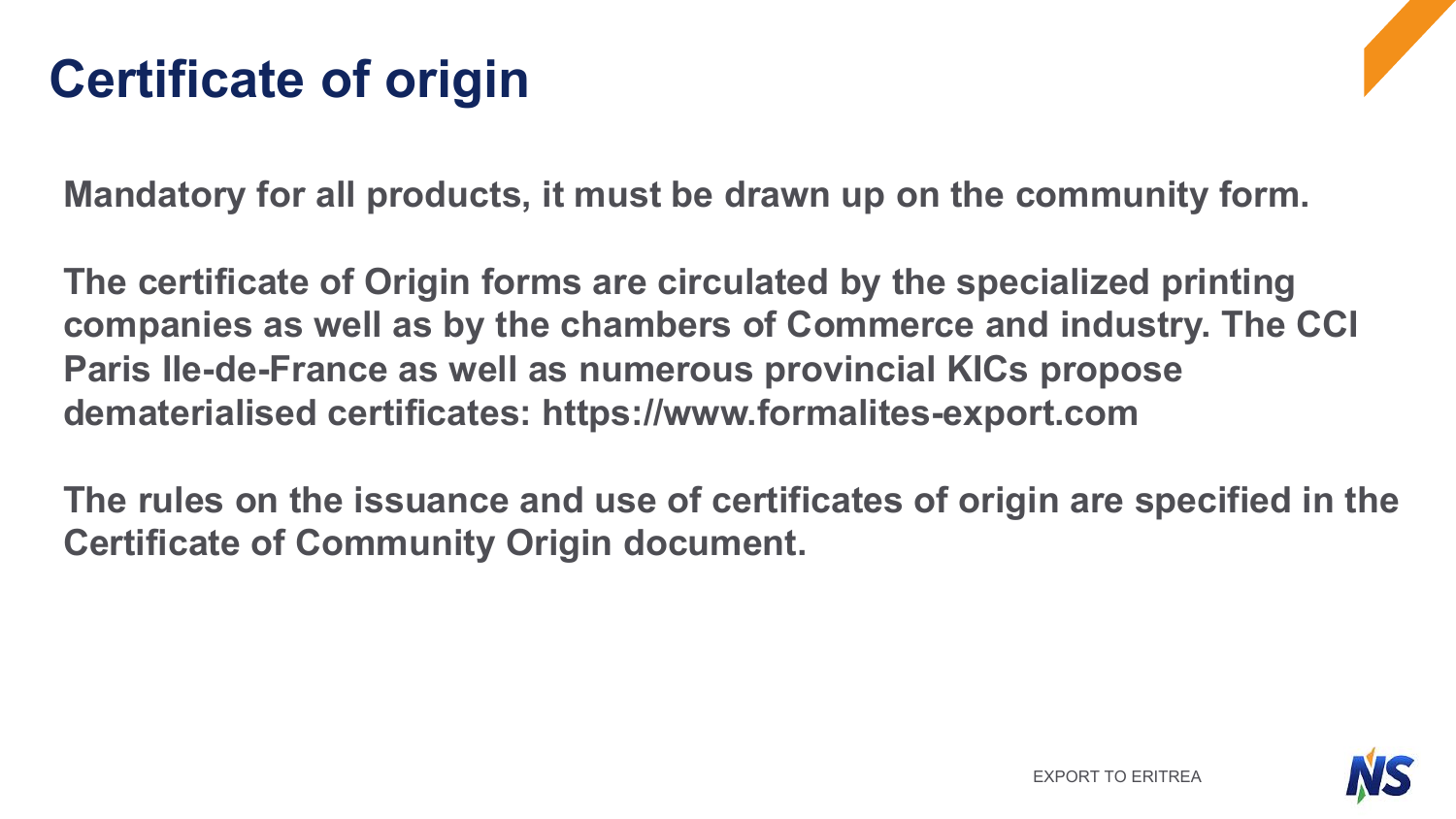## **Certificate of origin**

**Mandatory for all products, it must be drawn up on the community form.**

**The certificate of Origin forms are circulated by the specialized printing companies as well as by the chambers of Commerce and industry. The CCI Paris Ile-de-France as well as numerous provincial KICs propose dematerialised certificates: https://www.formalites-export.com**

**The rules on the issuance and use of certificates of origin are specified in the Certificate of Community Origin document.**

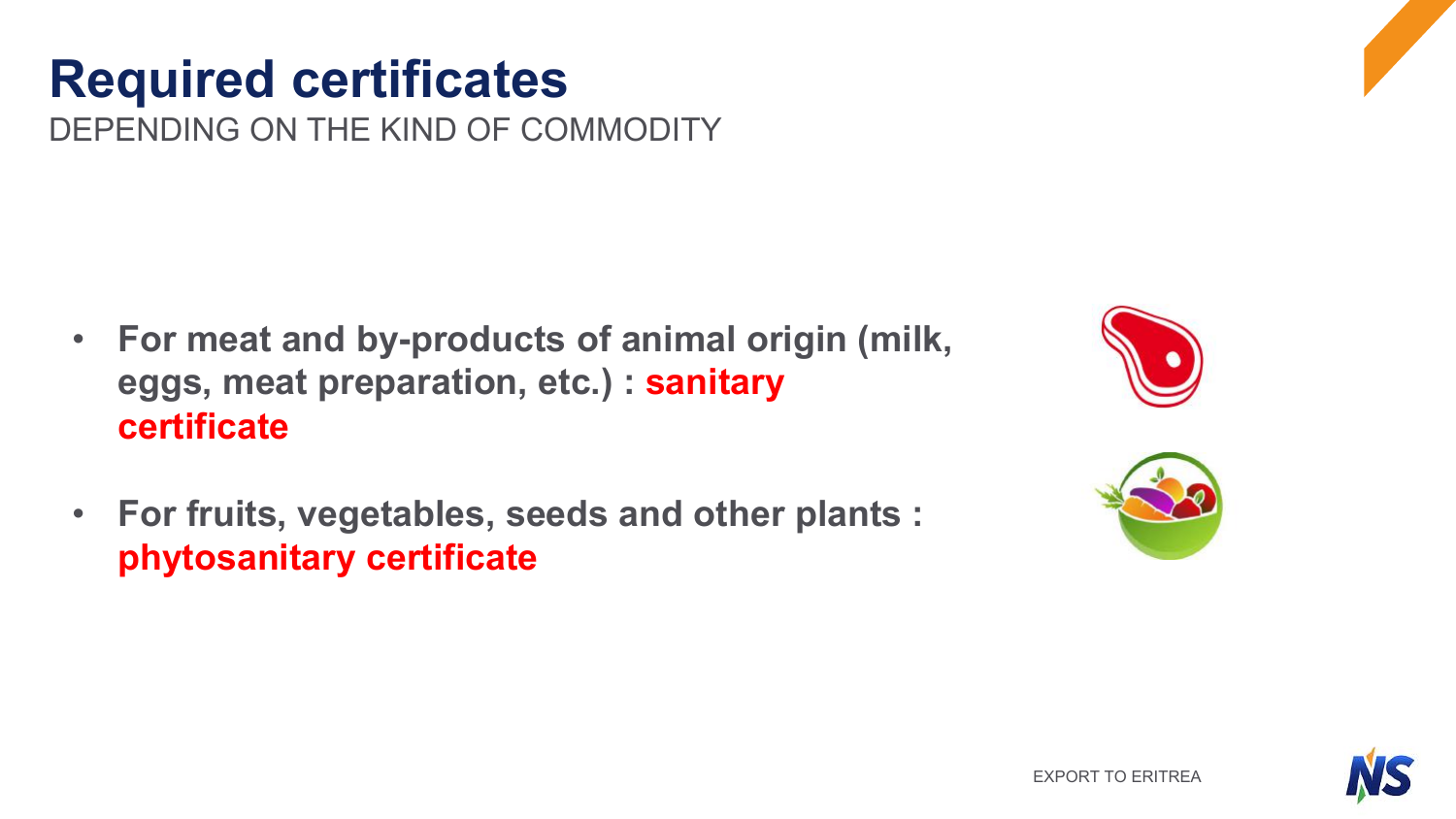DEPENDING ON THE KIND OF COMMODITY

- **For meat and by-products of animal origin (milk, eggs, meat preparation, etc.) : sanitary certificate**
- **For fruits, vegetables, seeds and other plants : phytosanitary certificate**





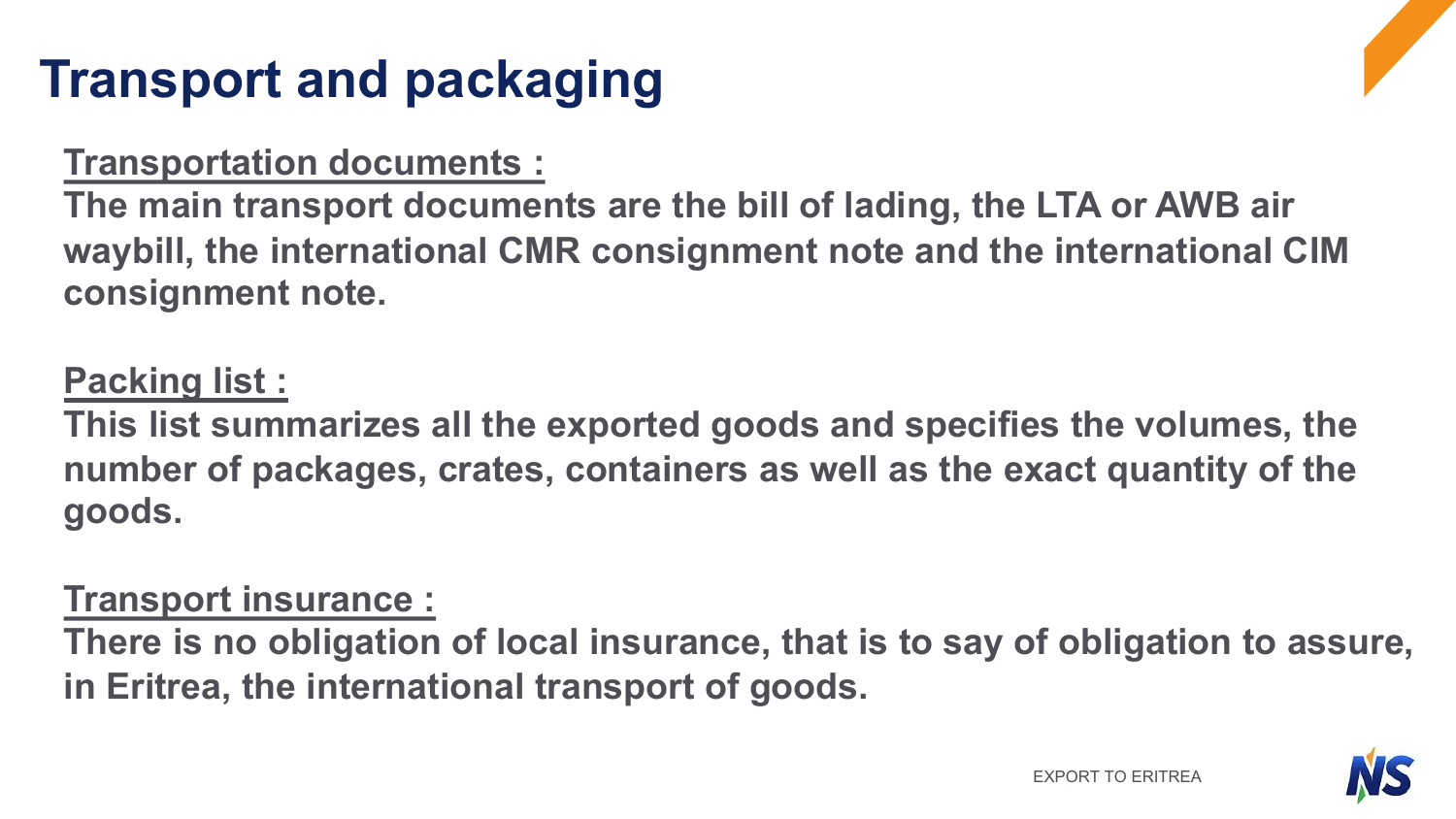## **Transport and packaging**

#### **Transportation documents :**

**The main transport documents are the bill of lading, the LTA or AWB air waybill, the international CMR consignment note and the international CIM consignment note.**

### **Packing list :**

**This list summarizes all the exported goods and specifies the volumes, the number of packages, crates, containers as well as the exact quantity of the goods.** 

### **Transport insurance :**

**There is no obligation of local insurance, that is to say of obligation to assure, in Eritrea, the international transport of goods.** 

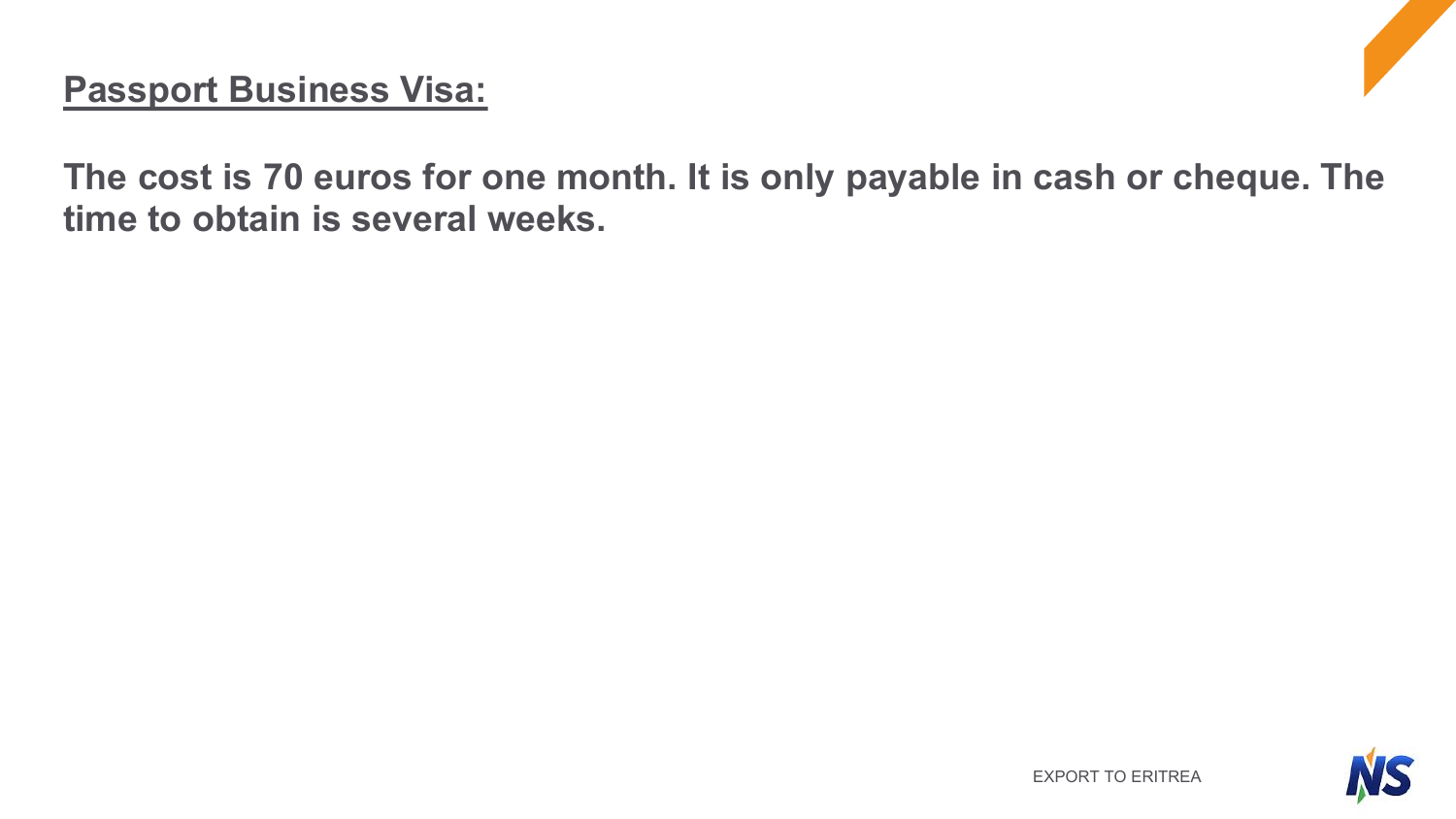#### **Passport Business Visa:**

**The cost is 70 euros for one month. It is only payable in cash or cheque. The time to obtain is several weeks.**